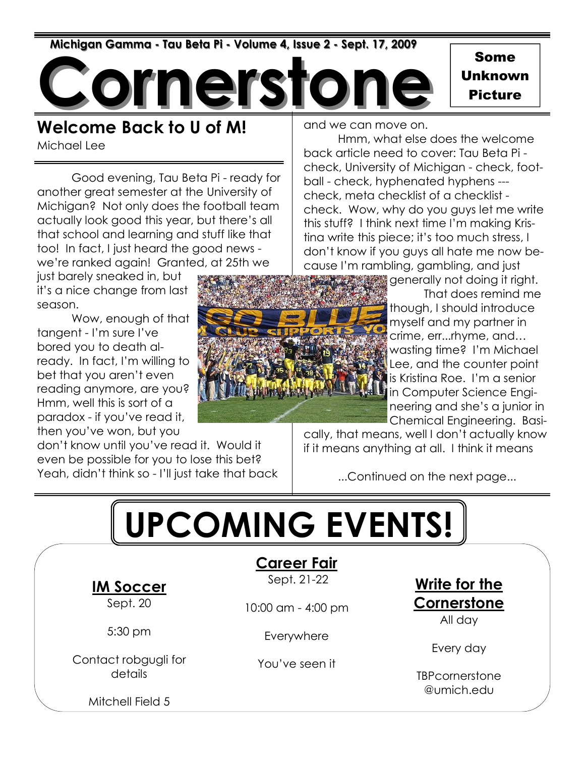Michigan Gamma - Tau Beta Pi - Volume 4, Issue 2 - Sept. 17, 2009

**iers** 

Some Unknown Picture

#### Welcome Back to U of M!

Michael Lee

 Good evening, Tau Beta Pi - ready for another great semester at the University of Michigan? Not only does the football team actually look good this year, but there's all that school and learning and stuff like that too! In fact, I just heard the good news we're ranked again! Granted, at 25th we

just barely sneaked in, but it's a nice change from last season.

 Wow, enough of that tangent - I'm sure I've bored you to death already. In fact, I'm willing to bet that you aren't even reading anymore, are you? Hmm, well this is sort of a paradox - if you've read it, then you've won, but you

don't know until you've read it. Would it even be possible for you to lose this bet? Yeah, didn't think so - I'll just take that back and we can move on.

 Hmm, what else does the welcome back article need to cover: Tau Beta Pi check, University of Michigan - check, football - check, hyphenated hyphens -- check, meta checklist of a checklist check. Wow, why do you guys let me write this stuff? I think next time I'm making Kristina write this piece; it's too much stress, I don't know if you guys all hate me now because I'm rambling, gambling, and just

generally not doing it right. That does remind me though, I should introduce myself and my partner in crime, err...rhyme, and… wasting time? I'm Michael Lee, and the counter point is Kristina Roe. I'm a senior in Computer Science Engineering and she's a junior in Chemical Engineering. Basi-

cally, that means, well I don't actually know if it means anything at all. I think it means

...Continued on the next page...

# UPCOMING EVENTS!

IM Soccer

Sept. 20

5:30 pm

Contact robgugli for details

Mitchell Field 5

Career Fair

Sept. 21-22

10:00 am - 4:00 pm

Everywhere

You've seen it

Write for the **Cornerstone** 

All day

Every day

**TBPcornerstone** @umich.edu

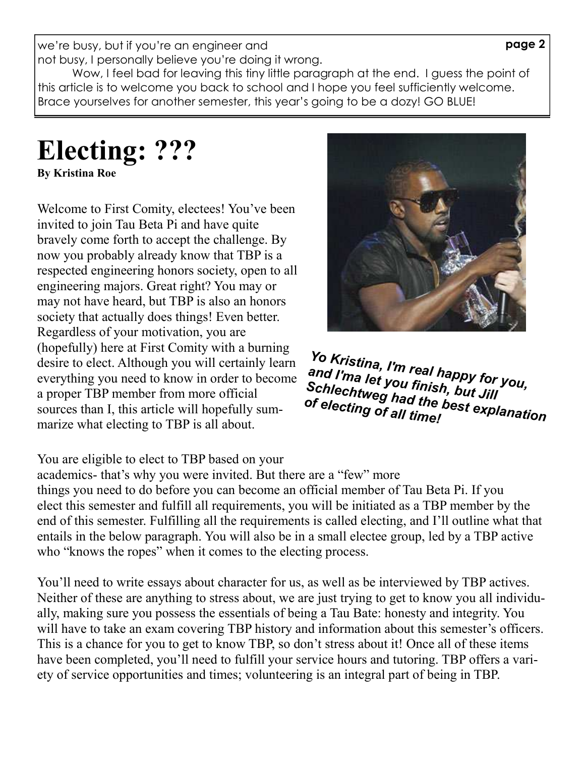page 2

we're busy, but if you're an engineer and not busy, I personally believe you're doing it wrong.

Wow, I feel bad for leaving this tiny little paragraph at the end. I guess the point of this article is to welcome you back to school and I hope you feel sufficiently welcome. Brace yourselves for another semester, this year's going to be a dozy! GO BLUE!

#### Electing: ??? By Kristina Roe

Welcome to First Comity, electees! You've been invited to join Tau Beta Pi and have quite bravely come forth to accept the challenge. By now you probably already know that TBP is a respected engineering honors society, open to all engineering majors. Great right? You may or may not have heard, but TBP is also an honors society that actually does things! Even better. Regardless of your motivation, you are (hopefully) here at First Comity with a burning desire to elect. Although you will certainly learn everything you need to know in order to become a proper TBP member from more official sources than I, this article will hopefully summarize what electing to TBP is all about.



Yo Kristina, I'm real happy for you, and I'ma let you finish, but Jill<br>Schlechtweg had the best expl<br>of electing of all time! Schlechtweg had the best explanation<br>of electing of all time!<br>Schlanation

#### You are eligible to elect to TBP based on your

academics- that's why you were invited. But there are a "few" more things you need to do before you can become an official member of Tau Beta Pi. If you elect this semester and fulfill all requirements, you will be initiated as a TBP member by the end of this semester. Fulfilling all the requirements is called electing, and I'll outline what that entails in the below paragraph. You will also be in a small electee group, led by a TBP active who "knows the ropes" when it comes to the electing process.

You'll need to write essays about character for us, as well as be interviewed by TBP actives. Neither of these are anything to stress about, we are just trying to get to know you all individually, making sure you possess the essentials of being a Tau Bate: honesty and integrity. You will have to take an exam covering TBP history and information about this semester's officers. This is a chance for you to get to know TBP, so don't stress about it! Once all of these items have been completed, you'll need to fulfill your service hours and tutoring. TBP offers a variety of service opportunities and times; volunteering is an integral part of being in TBP.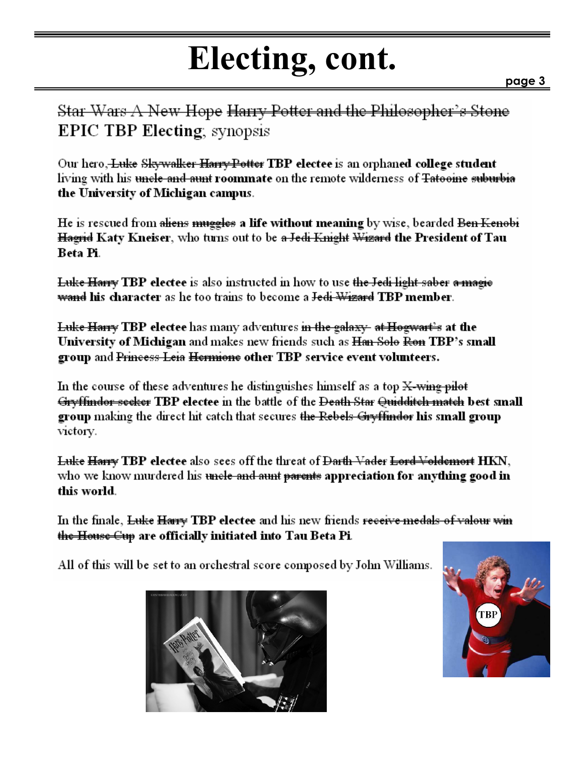## Electing, cont.

Star Wars A New Hope Harry Potter and the Philosopher's Stone **EPIC TBP Electing**, synopsis

Our hero, Luke Skywalker Harry Potter TBP electee is an orphaned college student living with his <del>uncle and aunt</del> roommate on the remote wilderness of <del>Tatooine suburbia</del> the University of Michigan campus.

He is rescued from <del>aliens muggles</del> a life without meaning by wise, bearded <del>Ben Kenobi</del> <del>Hagrid</del> Katy Kneiser, who turns out to be <del>a Jedi Knight Wizard</del> the President of Tau Beta Pi.

Luke Harry TBP electee is also instructed in how to use the Jedi light saber a magie <del>wand</del> his character as he too trains to become a <del>Jedi Wizard</del> TBP member.

<del>Luke Harry</del> TBP electee has many adventures <del>in the galaxy- at Hogwart's</del> at the University of Michigan and makes new friends such as <del>Han Solo Ron</del> TBP's small group and Princess Leia Hermione other TBP service event volunteers.

In the course of these adventures he distinguishes himself as a top  $X$ -wing pilot <del>Gryffindor seeker</del> TBP electee in the battle of the <del>Death Star Quidditch match</del> best small group making the direct hit catch that secures the Rebels Gryffinder his small group victory.

Luke Harry TBP electee also sees off the threat of <del>Darth Vader Lord Voldemort</del> HKN, who we know murdered his <del>uncle and aunt parents</del> appreciation for anything good in this world.

In the finale, Luke Harry TBP electee and his new friends receive medals of valour win <del>the House Cup</del> are officially initiated into Tau Beta Pi.

All of this will be set to an orchestral score composed by John Williams.



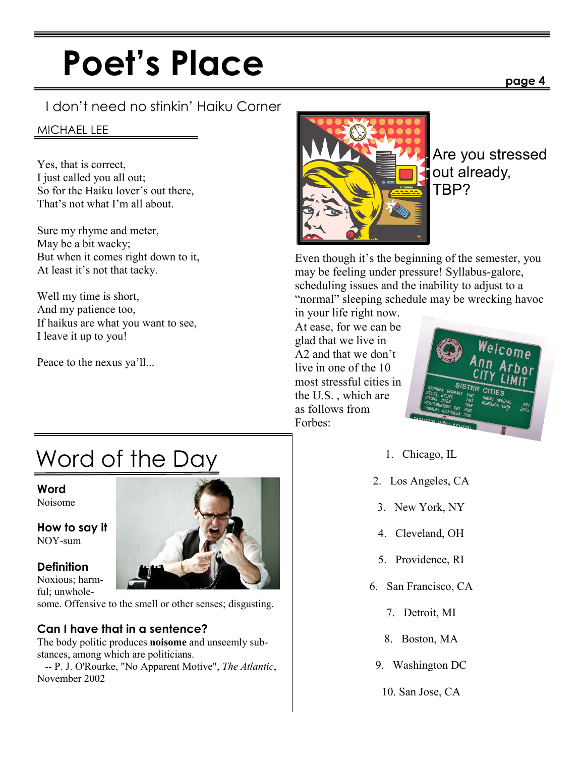## Poet's Place

#### I don't need no stinkin' Haiku Corner

#### MICHAEL LEE

Yes, that is correct, I just called you all out; So for the Haiku lover's out there, That's not what I'm all about.

Sure my rhyme and meter, May be a bit wacky; But when it comes right down to it, At least it's not that tacky.

Well my time is short, And my patience too, If haikus are what you want to see, I leave it up to you!

Peace to the nexus ya'll...

### Word of the Day

Word Noisome

How to say it NOY-sum

#### **Definition**

Noxious; harmful; unwhole-

some. Offensive to the smell or other senses; disgusting.

#### Can I have that in a sentence?

The body politic produces noisome and unseemly substances, among which are politicians.

 -- P. J. O'Rourke, "No Apparent Motive", The Atlantic, November 2002



Are you stressed out already, TBP?

Even though it's the beginning of the semester, you may be feeling under pressure! Syllabus-galore, scheduling issues and the inability to adjust to a "normal" sleeping schedule may be wrecking havoc

in your life right now. At ease, for we can be glad that we live in A2 and that we don't live in one of the 10 most stressful cities in the U.S. , which are as follows from Forbes:



- 1. Chicago, IL
- 2. Los Angeles, CA
- 3. New York, NY
- 4. Cleveland, OH
- 5. Providence, RI
- 6. San Francisco, CA
	- 7. Detroit, MI
	- 8. Boston, MA
- 9. Washington DC
	- 10. San Jose, CA



#### page 4